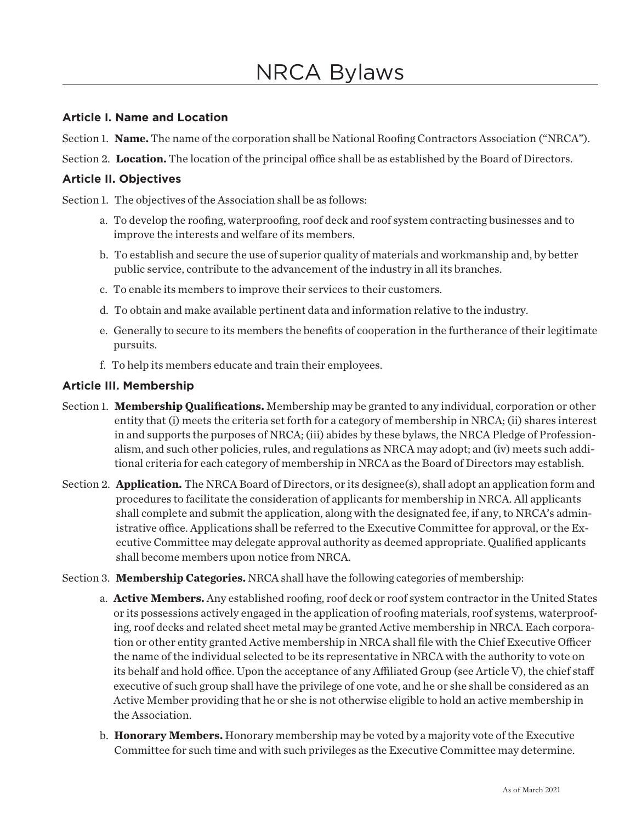### **Article I. Name and Location**

Section 1. **Name.** The name of the corporation shall be National Roofing Contractors Association ("NRCA").

Section 2. **Location.** The location of the principal office shall be as established by the Board of Directors.

#### **Article II. Objectives**

Section 1. The objectives of the Association shall be as follows:

- a. To develop the roofing, waterproofing, roof deck and roof system contracting businesses and to improve the interests and welfare of its members.
- b. To establish and secure the use of superior quality of materials and workmanship and, by better public service, contribute to the advancement of the industry in all its branches.
- c. To enable its members to improve their services to their customers.
- d. To obtain and make available pertinent data and information relative to the industry.
- e. Generally to secure to its members the benefits of cooperation in the furtherance of their legitimate pursuits.
- f. To help its members educate and train their employees.

#### **Article III. Membership**

- Section 1. **Membership Qualifications.** Membership may be granted to any individual, corporation or other entity that (i) meets the criteria set forth for a category of membership in NRCA; (ii) shares interest in and supports the purposes of NRCA; (iii) abides by these bylaws, the NRCA Pledge of Professionalism, and such other policies, rules, and regulations as NRCA may adopt; and (iv) meets such additional criteria for each category of membership in NRCA as the Board of Directors may establish.
- Section 2. **Application.** The NRCA Board of Directors, or its designee(s), shall adopt an application form and procedures to facilitate the consideration of applicants for membership in NRCA. All applicants shall complete and submit the application, along with the designated fee, if any, to NRCA's administrative office. Applications shall be referred to the Executive Committee for approval, or the Executive Committee may delegate approval authority as deemed appropriate. Qualified applicants shall become members upon notice from NRCA.
- Section 3.  **Membership Categories.** NRCA shall have the following categories of membership:
	- a. **Active Members.** Any established roofing, roof deck or roof system contractor in the United States or its possessions actively engaged in the application of roofing materials, roof systems, waterproofing, roof decks and related sheet metal may be granted Active membership in NRCA. Each corporation or other entity granted Active membership in NRCA shall file with the Chief Executive Officer the name of the individual selected to be its representative in NRCA with the authority to vote on its behalf and hold office. Upon the acceptance of any Affiliated Group (see Article V), the chief staff executive of such group shall have the privilege of one vote, and he or she shall be considered as an Active Member providing that he or she is not otherwise eligible to hold an active membership in the Association.
	- b. **Honorary Members.** Honorary membership may be voted by a majority vote of the Executive Committee for such time and with such privileges as the Executive Committee may determine.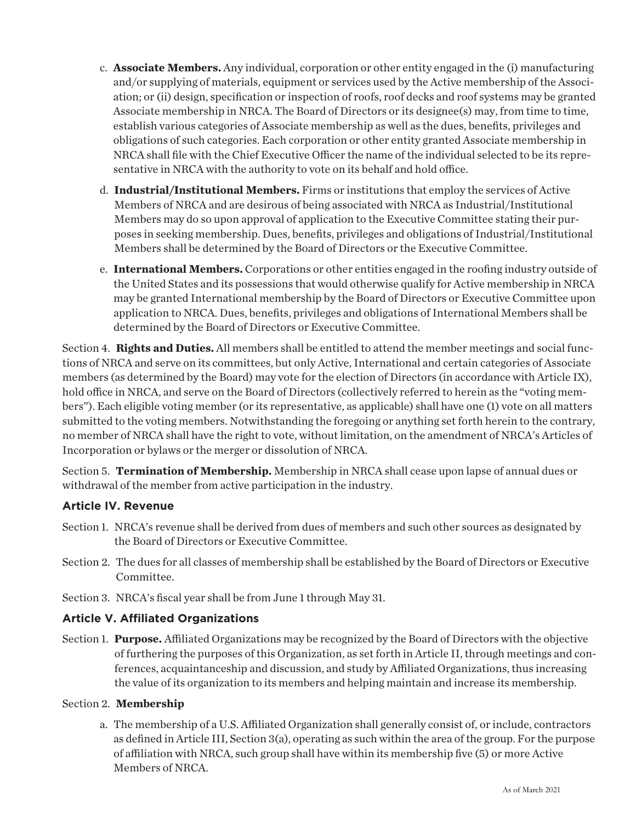- c. **Associate Members.** Any individual, corporation or other entity engaged in the (i) manufacturing and/or supplying of materials, equipment or services used by the Active membership of the Association; or (ii) design, specification or inspection of roofs, roof decks and roof systems may be granted Associate membership in NRCA. The Board of Directors or its designee(s) may, from time to time, establish various categories of Associate membership as well as the dues, benefits, privileges and obligations of such categories. Each corporation or other entity granted Associate membership in NRCA shall file with the Chief Executive Officer the name of the individual selected to be its representative in NRCA with the authority to vote on its behalf and hold office.
- d. **Industrial/Institutional Members.** Firms or institutions that employ the services of Active Members of NRCA and are desirous of being associated with NRCA as Industrial/Institutional Members may do so upon approval of application to the Executive Committee stating their purposes in seeking membership. Dues, benefits, privileges and obligations of Industrial/Institutional Members shall be determined by the Board of Directors or the Executive Committee.
- e. **International Members.** Corporations or other entities engaged in the roofing industry outside of the United States and its possessions that would otherwise qualify for Active membership in NRCA may be granted International membership by the Board of Directors or Executive Committee upon application to NRCA. Dues, benefits, privileges and obligations of International Members shall be determined by the Board of Directors or Executive Committee.

Section 4. **Rights and Duties.** All members shall be entitled to attend the member meetings and social functions of NRCA and serve on its committees, but only Active, International and certain categories of Associate members (as determined by the Board) may vote for the election of Directors (in accordance with Article IX), hold office in NRCA, and serve on the Board of Directors (collectively referred to herein as the "voting members"). Each eligible voting member (or its representative, as applicable) shall have one (1) vote on all matters submitted to the voting members. Notwithstanding the foregoing or anything set forth herein to the contrary, no member of NRCA shall have the right to vote, without limitation, on the amendment of NRCA's Articles of Incorporation or bylaws or the merger or dissolution of NRCA.

Section 5. **Termination of Membership.** Membership in NRCA shall cease upon lapse of annual dues or withdrawal of the member from active participation in the industry.

# **Article IV. Revenue**

- Section 1. NRCA's revenue shall be derived from dues of members and such other sources as designated by the Board of Directors or Executive Committee.
- Section 2. The dues for all classes of membership shall be established by the Board of Directors or Executive Committee.
- Section 3. NRCA's fiscal year shall be from June 1 through May 31.

## **Article V. Affiliated Organizations**

Section 1. **Purpose.** Affiliated Organizations may be recognized by the Board of Directors with the objective of furthering the purposes of this Organization, as set forth in Article II, through meetings and conferences, acquaintanceship and discussion, and study by Affiliated Organizations, thus increasing the value of its organization to its members and helping maintain and increase its membership.

#### Section 2. **Membership**

a. The membership of a U.S. Affiliated Organization shall generally consist of, or include, contractors as defined in Article III, Section 3(a), operating as such within the area of the group. For the purpose of affiliation with NRCA, such group shall have within its membership five (5) or more Active Members of NRCA.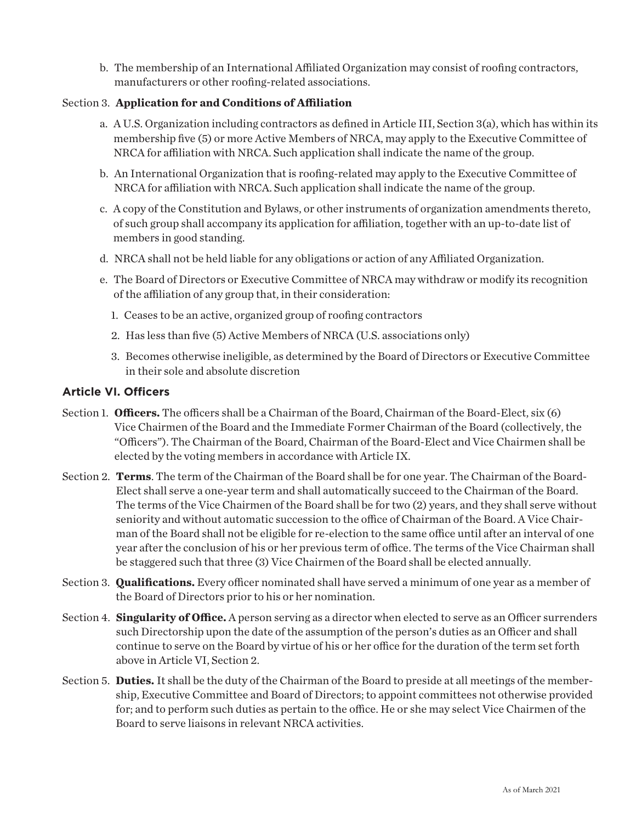b. The membership of an International Affiliated Organization may consist of roofing contractors, manufacturers or other roofing-related associations.

#### Section 3. **Application for and Conditions of Affiliation**

- a. A U.S. Organization including contractors as defined in Article III, Section 3(a), which has within its membership five (5) or more Active Members of NRCA, may apply to the Executive Committee of NRCA for affiliation with NRCA. Such application shall indicate the name of the group.
- b. An International Organization that is roofing-related may apply to the Executive Committee of NRCA for affiliation with NRCA. Such application shall indicate the name of the group.
- c. A copy of the Constitution and Bylaws, or other instruments of organization amendments thereto, of such group shall accompany its application for affiliation, together with an up-to-date list of members in good standing.
- d. NRCA shall not be held liable for any obligations or action of any Affiliated Organization.
- e. The Board of Directors or Executive Committee of NRCA may withdraw or modify its recognition of the affiliation of any group that, in their consideration:
	- 1. Ceases to be an active, organized group of roofing contractors
	- 2. Has less than five (5) Active Members of NRCA (U.S. associations only)
	- 3. Becomes otherwise ineligible, as determined by the Board of Directors or Executive Committee in their sole and absolute discretion

#### **Article VI. Officers**

- Section 1. **Officers.** The officers shall be a Chairman of the Board, Chairman of the Board-Elect, six (6) Vice Chairmen of the Board and the Immediate Former Chairman of the Board (collectively, the "Officers"). The Chairman of the Board, Chairman of the Board-Elect and Vice Chairmen shall be elected by the voting members in accordance with Article IX.
- Section 2. **Terms**. The term of the Chairman of the Board shall be for one year. The Chairman of the Board-Elect shall serve a one-year term and shall automatically succeed to the Chairman of the Board. The terms of the Vice Chairmen of the Board shall be for two (2) years, and they shall serve without seniority and without automatic succession to the office of Chairman of the Board. A Vice Chairman of the Board shall not be eligible for re-election to the same office until after an interval of one year after the conclusion of his or her previous term of office. The terms of the Vice Chairman shall be staggered such that three (3) Vice Chairmen of the Board shall be elected annually.
- Section 3. **Qualifications.** Every officer nominated shall have served a minimum of one year as a member of the Board of Directors prior to his or her nomination.
- Section 4. **Singularity of Office.** A person serving as a director when elected to serve as an Officer surrenders such Directorship upon the date of the assumption of the person's duties as an Officer and shall continue to serve on the Board by virtue of his or her office for the duration of the term set forth above in Article VI, Section 2.
- Section 5. **Duties.** It shall be the duty of the Chairman of the Board to preside at all meetings of the membership, Executive Committee and Board of Directors; to appoint committees not otherwise provided for; and to perform such duties as pertain to the office. He or she may select Vice Chairmen of the Board to serve liaisons in relevant NRCA activities.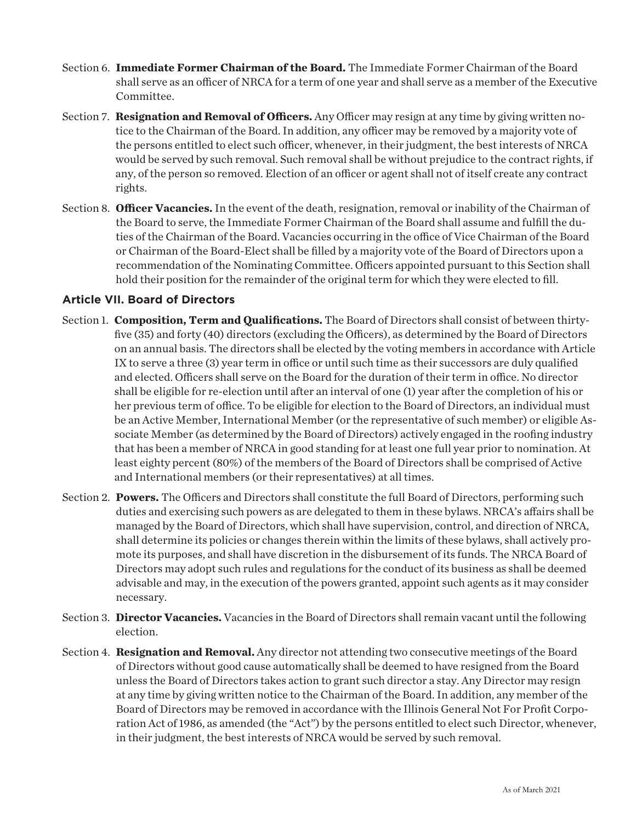- Section 6. **Immediate Former Chairman of the Board.** The Immediate Former Chairman of the Board shall serve as an officer of NRCA for a term of one year and shall serve as a member of the Executive Committee.
- Section 7. **Resignation and Removal of Officers.** Any Officer may resign at any time by giving written notice to the Chairman of the Board. In addition, any officer may be removed by a majority vote of the persons entitled to elect such officer, whenever, in their judgment, the best interests of NRCA would be served by such removal. Such removal shall be without prejudice to the contract rights, if any, of the person so removed. Election of an officer or agent shall not of itself create any contract rights.
- Section 8. **Officer Vacancies.** In the event of the death, resignation, removal or inability of the Chairman of the Board to serve, the Immediate Former Chairman of the Board shall assume and fulfill the duties of the Chairman of the Board. Vacancies occurring in the office of Vice Chairman of the Board or Chairman of the Board-Elect shall be filled by a majority vote of the Board of Directors upon a recommendation of the Nominating Committee. Officers appointed pursuant to this Section shall hold their position for the remainder of the original term for which they were elected to fill.

## **Article VII. Board of Directors**

- Section 1. **Composition, Term and Qualifications.** The Board of Directors shall consist of between thirtyfive (35) and forty (40) directors (excluding the Officers), as determined by the Board of Directors on an annual basis. The directors shall be elected by the voting members in accordance with Article IX to serve a three (3) year term in office or until such time as their successors are duly qualified and elected. Officers shall serve on the Board for the duration of their term in office. No director shall be eligible for re-election until after an interval of one (1) year after the completion of his or her previous term of office. To be eligible for election to the Board of Directors, an individual must be an Active Member, International Member (or the representative of such member) or eligible Associate Member (as determined by the Board of Directors) actively engaged in the roofing industry that has been a member of NRCA in good standing for at least one full year prior to nomination. At least eighty percent (80%) of the members of the Board of Directors shall be comprised of Active and International members (or their representatives) at all times.
- Section 2. **Powers.** The Officers and Directors shall constitute the full Board of Directors, performing such duties and exercising such powers as are delegated to them in these bylaws. NRCA's affairs shall be managed by the Board of Directors, which shall have supervision, control, and direction of NRCA, shall determine its policies or changes therein within the limits of these bylaws, shall actively promote its purposes, and shall have discretion in the disbursement of its funds. The NRCA Board of Directors may adopt such rules and regulations for the conduct of its business as shall be deemed advisable and may, in the execution of the powers granted, appoint such agents as it may consider necessary.
- Section 3. **Director Vacancies.** Vacancies in the Board of Directors shall remain vacant until the following election.
- Section 4. **Resignation and Removal.** Any director not attending two consecutive meetings of the Board of Directors without good cause automatically shall be deemed to have resigned from the Board unless the Board of Directors takes action to grant such director a stay. Any Director may resign at any time by giving written notice to the Chairman of the Board. In addition, any member of the Board of Directors may be removed in accordance with the Illinois General Not For Profit Corporation Act of 1986, as amended (the "Act") by the persons entitled to elect such Director, whenever, in their judgment, the best interests of NRCA would be served by such removal.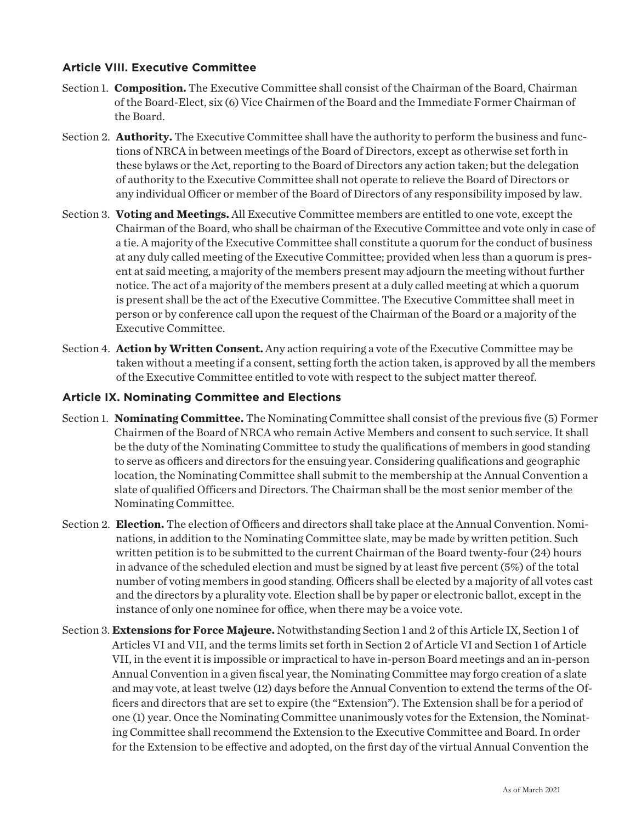## **Article VIII. Executive Committee**

- Section 1. **Composition.** The Executive Committee shall consist of the Chairman of the Board, Chairman of the Board-Elect, six (6) Vice Chairmen of the Board and the Immediate Former Chairman of the Board.
- Section 2. **Authority.** The Executive Committee shall have the authority to perform the business and functions of NRCA in between meetings of the Board of Directors, except as otherwise set forth in these bylaws or the Act, reporting to the Board of Directors any action taken; but the delegation of authority to the Executive Committee shall not operate to relieve the Board of Directors or any individual Officer or member of the Board of Directors of any responsibility imposed by law.
- Section 3. **Voting and Meetings.** All Executive Committee members are entitled to one vote, except the Chairman of the Board, who shall be chairman of the Executive Committee and vote only in case of a tie. A majority of the Executive Committee shall constitute a quorum for the conduct of business at any duly called meeting of the Executive Committee; provided when less than a quorum is present at said meeting, a majority of the members present may adjourn the meeting without further notice. The act of a majority of the members present at a duly called meeting at which a quorum is present shall be the act of the Executive Committee. The Executive Committee shall meet in person or by conference call upon the request of the Chairman of the Board or a majority of the Executive Committee.
- Section 4. **Action by Written Consent.** Any action requiring a vote of the Executive Committee may be taken without a meeting if a consent, setting forth the action taken, is approved by all the members of the Executive Committee entitled to vote with respect to the subject matter thereof.

## **Article IX. Nominating Committee and Elections**

- Section 1. **Nominating Committee.** The Nominating Committee shall consist of the previous five (5) Former Chairmen of the Board of NRCA who remain Active Members and consent to such service. It shall be the duty of the Nominating Committee to study the qualifications of members in good standing to serve as officers and directors for the ensuing year. Considering qualifications and geographic location, the Nominating Committee shall submit to the membership at the Annual Convention a slate of qualified Officers and Directors. The Chairman shall be the most senior member of the Nominating Committee.
- Section 2. **Election.** The election of Officers and directors shall take place at the Annual Convention. Nominations, in addition to the Nominating Committee slate, may be made by written petition. Such written petition is to be submitted to the current Chairman of the Board twenty-four (24) hours in advance of the scheduled election and must be signed by at least five percent (5%) of the total number of voting members in good standing. Officers shall be elected by a majority of all votes cast and the directors by a plurality vote. Election shall be by paper or electronic ballot, except in the instance of only one nominee for office, when there may be a voice vote.
- Section 3. **Extensions for Force Majeure.** Notwithstanding Section 1 and 2 of this Article IX, Section 1 of Articles VI and VII, and the terms limits set forth in Section 2 of Article VI and Section 1 of Article VII, in the event it is impossible or impractical to have in-person Board meetings and an in-person Annual Convention in a given fiscal year, the Nominating Committee may forgo creation of a slate and may vote, at least twelve (12) days before the Annual Convention to extend the terms of the Officers and directors that are set to expire (the "Extension"). The Extension shall be for a period of one (1) year. Once the Nominating Committee unanimously votes for the Extension, the Nominating Committee shall recommend the Extension to the Executive Committee and Board. In order for the Extension to be effective and adopted, on the first day of the virtual Annual Convention the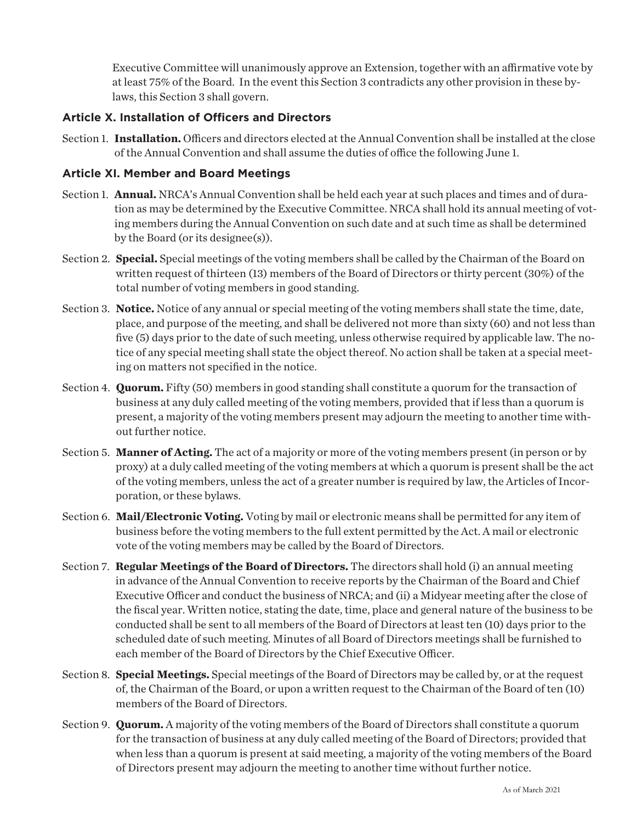Executive Committee will unanimously approve an Extension, together with an affirmative vote by at least 75% of the Board. In the event this Section 3 contradicts any other provision in these bylaws, this Section 3 shall govern.

## **Article X. Installation of Officers and Directors**

Section 1. **Installation.** Officers and directors elected at the Annual Convention shall be installed at the close of the Annual Convention and shall assume the duties of office the following June 1.

### **Article XI. Member and Board Meetings**

- Section 1. **Annual.** NRCA's Annual Convention shall be held each year at such places and times and of duration as may be determined by the Executive Committee. NRCA shall hold its annual meeting of voting members during the Annual Convention on such date and at such time as shall be determined by the Board (or its designee(s)).
- Section 2. **Special.** Special meetings of the voting members shall be called by the Chairman of the Board on written request of thirteen (13) members of the Board of Directors or thirty percent (30%) of the total number of voting members in good standing.
- Section 3. **Notice.** Notice of any annual or special meeting of the voting members shall state the time, date, place, and purpose of the meeting, and shall be delivered not more than sixty (60) and not less than five (5) days prior to the date of such meeting, unless otherwise required by applicable law. The notice of any special meeting shall state the object thereof. No action shall be taken at a special meeting on matters not specified in the notice.
- Section 4. **Quorum.** Fifty (50) members in good standing shall constitute a quorum for the transaction of business at any duly called meeting of the voting members, provided that if less than a quorum is present, a majority of the voting members present may adjourn the meeting to another time without further notice.
- Section 5. **Manner of Acting.** The act of a majority or more of the voting members present (in person or by proxy) at a duly called meeting of the voting members at which a quorum is present shall be the act of the voting members, unless the act of a greater number is required by law, the Articles of Incorporation, or these bylaws.
- Section 6. **Mail/Electronic Voting.** Voting by mail or electronic means shall be permitted for any item of business before the voting members to the full extent permitted by the Act. A mail or electronic vote of the voting members may be called by the Board of Directors.
- Section 7. **Regular Meetings of the Board of Directors.** The directors shall hold (i) an annual meeting in advance of the Annual Convention to receive reports by the Chairman of the Board and Chief Executive Officer and conduct the business of NRCA; and (ii) a Midyear meeting after the close of the fiscal year. Written notice, stating the date, time, place and general nature of the business to be conducted shall be sent to all members of the Board of Directors at least ten (10) days prior to the scheduled date of such meeting. Minutes of all Board of Directors meetings shall be furnished to each member of the Board of Directors by the Chief Executive Officer.
- Section 8. **Special Meetings.** Special meetings of the Board of Directors may be called by, or at the request of, the Chairman of the Board, or upon a written request to the Chairman of the Board of ten (10) members of the Board of Directors.
- Section 9. **Quorum.** A majority of the voting members of the Board of Directors shall constitute a quorum for the transaction of business at any duly called meeting of the Board of Directors; provided that when less than a quorum is present at said meeting, a majority of the voting members of the Board of Directors present may adjourn the meeting to another time without further notice.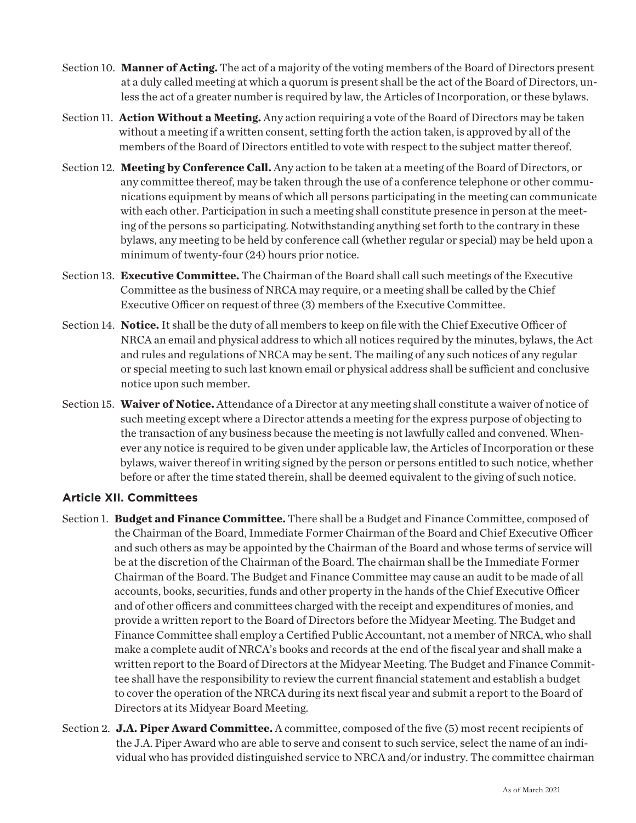- Section 10. **Manner of Acting.** The act of a majority of the voting members of the Board of Directors present at a duly called meeting at which a quorum is present shall be the act of the Board of Directors, unless the act of a greater number is required by law, the Articles of Incorporation, or these bylaws.
- Section 11. **Action Without a Meeting.** Any action requiring a vote of the Board of Directors may be taken without a meeting if a written consent, setting forth the action taken, is approved by all of the members of the Board of Directors entitled to vote with respect to the subject matter thereof.
- Section 12. **Meeting by Conference Call.** Any action to be taken at a meeting of the Board of Directors, or any committee thereof, may be taken through the use of a conference telephone or other communications equipment by means of which all persons participating in the meeting can communicate with each other. Participation in such a meeting shall constitute presence in person at the meeting of the persons so participating. Notwithstanding anything set forth to the contrary in these bylaws, any meeting to be held by conference call (whether regular or special) may be held upon a minimum of twenty-four (24) hours prior notice.
- Section 13. **Executive Committee.** The Chairman of the Board shall call such meetings of the Executive Committee as the business of NRCA may require, or a meeting shall be called by the Chief Executive Officer on request of three (3) members of the Executive Committee.
- Section 14. **Notice.** It shall be the duty of all members to keep on file with the Chief Executive Officer of NRCA an email and physical address to which all notices required by the minutes, bylaws, the Act and rules and regulations of NRCA may be sent. The mailing of any such notices of any regular or special meeting to such last known email or physical address shall be sufficient and conclusive notice upon such member.
- Section 15. **Waiver of Notice.** Attendance of a Director at any meeting shall constitute a waiver of notice of such meeting except where a Director attends a meeting for the express purpose of objecting to the transaction of any business because the meeting is not lawfully called and convened. Whenever any notice is required to be given under applicable law, the Articles of Incorporation or these bylaws, waiver thereof in writing signed by the person or persons entitled to such notice, whether before or after the time stated therein, shall be deemed equivalent to the giving of such notice.

## **Article XII. Committees**

- Section 1. **Budget and Finance Committee.** There shall be a Budget and Finance Committee, composed of the Chairman of the Board, Immediate Former Chairman of the Board and Chief Executive Officer and such others as may be appointed by the Chairman of the Board and whose terms of service will be at the discretion of the Chairman of the Board. The chairman shall be the Immediate Former Chairman of the Board. The Budget and Finance Committee may cause an audit to be made of all accounts, books, securities, funds and other property in the hands of the Chief Executive Officer and of other officers and committees charged with the receipt and expenditures of monies, and provide a written report to the Board of Directors before the Midyear Meeting. The Budget and Finance Committee shall employ a Certified Public Accountant, not a member of NRCA, who shall make a complete audit of NRCA's books and records at the end of the fiscal year and shall make a written report to the Board of Directors at the Midyear Meeting. The Budget and Finance Committee shall have the responsibility to review the current financial statement and establish a budget to cover the operation of the NRCA during its next fiscal year and submit a report to the Board of Directors at its Midyear Board Meeting.
- Section 2. **J.A. Piper Award Committee.** A committee, composed of the five (5) most recent recipients of the J.A. Piper Award who are able to serve and consent to such service, select the name of an individual who has provided distinguished service to NRCA and/or industry. The committee chairman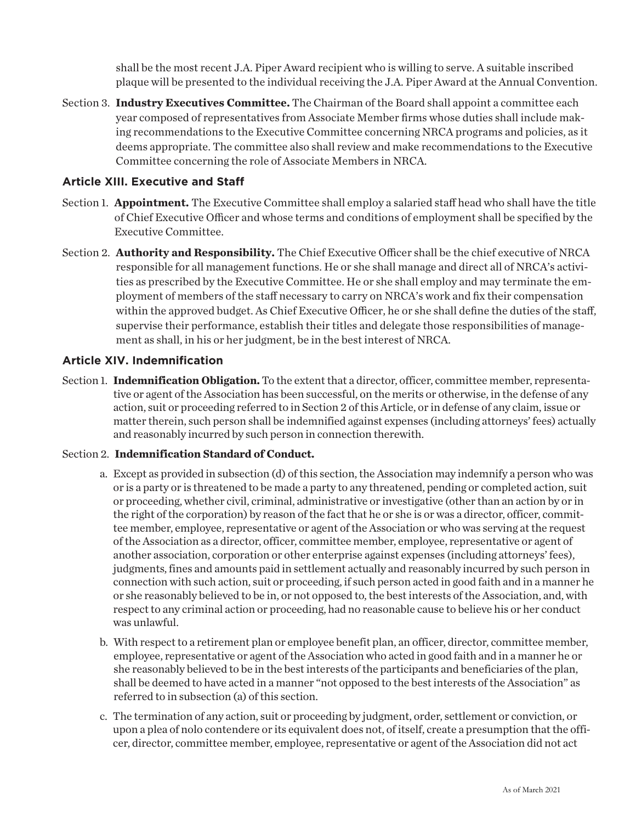shall be the most recent J.A. Piper Award recipient who is willing to serve. A suitable inscribed plaque will be presented to the individual receiving the J.A. Piper Award at the Annual Convention.

Section 3. **Industry Executives Committee.** The Chairman of the Board shall appoint a committee each year composed of representatives from Associate Member firms whose duties shall include making recommendations to the Executive Committee concerning NRCA programs and policies, as it deems appropriate. The committee also shall review and make recommendations to the Executive Committee concerning the role of Associate Members in NRCA.

## **Article XIII. Executive and Staff**

- Section 1. **Appointment.** The Executive Committee shall employ a salaried staff head who shall have the title of Chief Executive Officer and whose terms and conditions of employment shall be specified by the Executive Committee.
- Section 2. **Authority and Responsibility.** The Chief Executive Officer shall be the chief executive of NRCA responsible for all management functions. He or she shall manage and direct all of NRCA's activities as prescribed by the Executive Committee. He or she shall employ and may terminate the employment of members of the staff necessary to carry on NRCA's work and fix their compensation within the approved budget. As Chief Executive Officer, he or she shall define the duties of the staff, supervise their performance, establish their titles and delegate those responsibilities of management as shall, in his or her judgment, be in the best interest of NRCA.

#### **Article XIV. Indemnification**

Section 1. **Indemnification Obligation.** To the extent that a director, officer, committee member, representative or agent of the Association has been successful, on the merits or otherwise, in the defense of any action, suit or proceeding referred to in Section 2 of this Article, or in defense of any claim, issue or matter therein, such person shall be indemnified against expenses (including attorneys' fees) actually and reasonably incurred by such person in connection therewith.

#### Section 2. **Indemnification Standard of Conduct.**

- a. Except as provided in subsection (d) of this section, the Association may indemnify a person who was or is a party or is threatened to be made a party to any threatened, pending or completed action, suit or proceeding, whether civil, criminal, administrative or investigative (other than an action by or in the right of the corporation) by reason of the fact that he or she is or was a director, officer, committee member, employee, representative or agent of the Association or who was serving at the request of the Association as a director, officer, committee member, employee, representative or agent of another association, corporation or other enterprise against expenses (including attorneys' fees), judgments, fines and amounts paid in settlement actually and reasonably incurred by such person in connection with such action, suit or proceeding, if such person acted in good faith and in a manner he or she reasonably believed to be in, or not opposed to, the best interests of the Association, and, with respect to any criminal action or proceeding, had no reasonable cause to believe his or her conduct was unlawful.
- b. With respect to a retirement plan or employee benefit plan, an officer, director, committee member, employee, representative or agent of the Association who acted in good faith and in a manner he or she reasonably believed to be in the best interests of the participants and beneficiaries of the plan, shall be deemed to have acted in a manner "not opposed to the best interests of the Association" as referred to in subsection (a) of this section.
- c. The termination of any action, suit or proceeding by judgment, order, settlement or conviction, or upon a plea of nolo contendere or its equivalent does not, of itself, create a presumption that the officer, director, committee member, employee, representative or agent of the Association did not act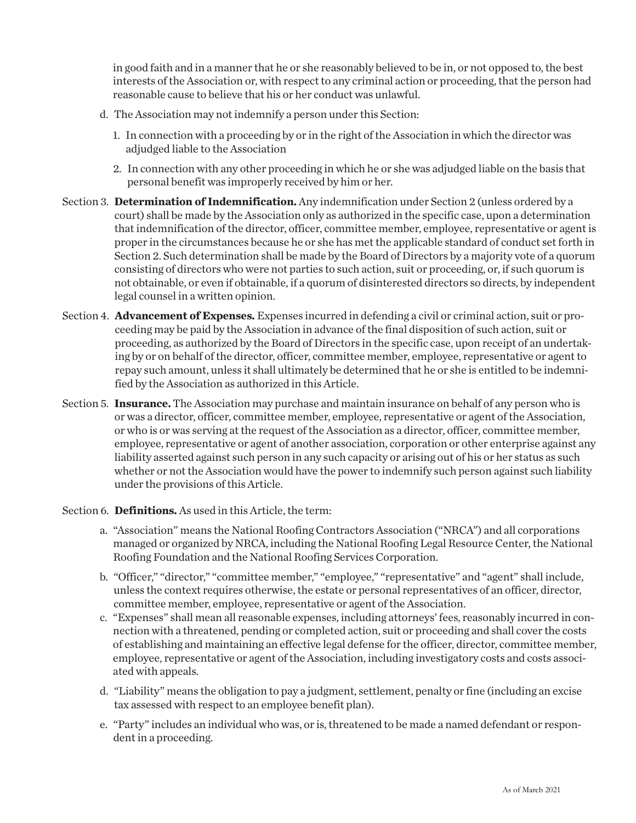in good faith and in a manner that he or she reasonably believed to be in, or not opposed to, the best interests of the Association or, with respect to any criminal action or proceeding, that the person had reasonable cause to believe that his or her conduct was unlawful.

- d. The Association may not indemnify a person under this Section:
	- 1. In connection with a proceeding by or in the right of the Association in which the director was adjudged liable to the Association
	- 2. In connection with any other proceeding in which he or she was adjudged liable on the basis that personal benefit was improperly received by him or her.
- Section 3. **Determination of Indemnification.** Any indemnification under Section 2 (unless ordered by a court) shall be made by the Association only as authorized in the specific case, upon a determination that indemnification of the director, officer, committee member, employee, representative or agent is proper in the circumstances because he or she has met the applicable standard of conduct set forth in Section 2. Such determination shall be made by the Board of Directors by a majority vote of a quorum consisting of directors who were not parties to such action, suit or proceeding, or, if such quorum is not obtainable, or even if obtainable, if a quorum of disinterested directors so directs, by independent legal counsel in a written opinion.
- Section 4. **Advancement of Expenses.** Expenses incurred in defending a civil or criminal action, suit or proceeding may be paid by the Association in advance of the final disposition of such action, suit or proceeding, as authorized by the Board of Directors in the specific case, upon receipt of an undertaking by or on behalf of the director, officer, committee member, employee, representative or agent to repay such amount, unless it shall ultimately be determined that he or she is entitled to be indemnified by the Association as authorized in this Article.
- Section 5. **Insurance.** The Association may purchase and maintain insurance on behalf of any person who is or was a director, officer, committee member, employee, representative or agent of the Association, or who is or was serving at the request of the Association as a director, officer, committee member, employee, representative or agent of another association, corporation or other enterprise against any liability asserted against such person in any such capacity or arising out of his or her status as such whether or not the Association would have the power to indemnify such person against such liability under the provisions of this Article.

#### Section 6. **Definitions.** As used in this Article, the term:

- a. "Association" means the National Roofing Contractors Association ("NRCA") and all corporations managed or organized by NRCA, including the National Roofing Legal Resource Center, the National Roofing Foundation and the National Roofing Services Corporation.
- b. "Officer," "director," "committee member," "employee," "representative" and "agent" shall include, unless the context requires otherwise, the estate or personal representatives of an officer, director, committee member, employee, representative or agent of the Association.
- c. "Expenses" shall mean all reasonable expenses, including attorneys' fees, reasonably incurred in connection with a threatened, pending or completed action, suit or proceeding and shall cover the costs of establishing and maintaining an effective legal defense for the officer, director, committee member, employee, representative or agent of the Association, including investigatory costs and costs associated with appeals.
- d. "Liability" means the obligation to pay a judgment, settlement, penalty or fine (including an excise tax assessed with respect to an employee benefit plan).
- e. "Party" includes an individual who was, or is, threatened to be made a named defendant or respondent in a proceeding.